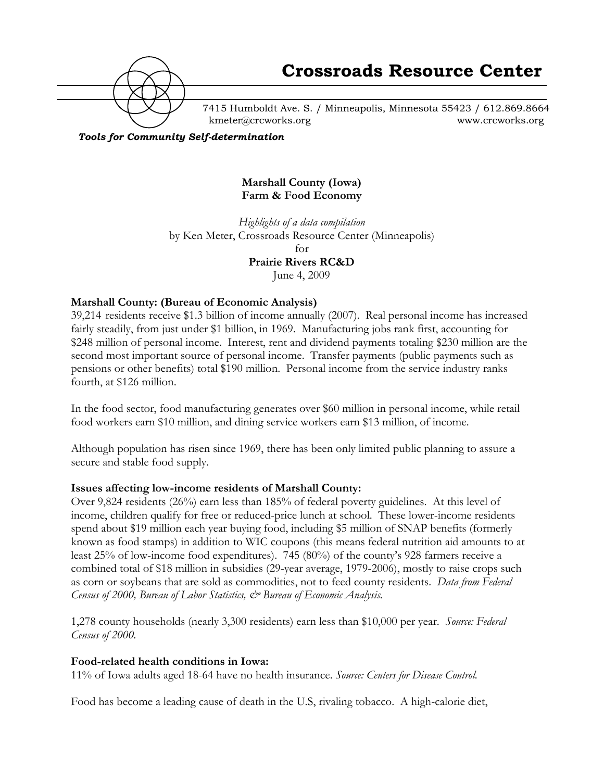

7415 Humboldt Ave. S. / Minneapolis, Minnesota 55423 / 612.869.8664 kmeter@crcworks.org www.crcworks.org

*Tools for Community Self-determination*

### **Marshall County (Iowa) Farm & Food Economy**

*Highlights of a data compilation* by Ken Meter, Crossroads Resource Center (Minneapolis) for **Prairie Rivers RC&D**

June 4, 2009

### **Marshall County: (Bureau of Economic Analysis)**

39,214 residents receive \$1.3 billion of income annually (2007). Real personal income has increased fairly steadily, from just under \$1 billion, in 1969. Manufacturing jobs rank first, accounting for \$248 million of personal income. Interest, rent and dividend payments totaling \$230 million are the second most important source of personal income. Transfer payments (public payments such as pensions or other benefits) total \$190 million. Personal income from the service industry ranks fourth, at \$126 million.

In the food sector, food manufacturing generates over \$60 million in personal income, while retail food workers earn \$10 million, and dining service workers earn \$13 million, of income.

Although population has risen since 1969, there has been only limited public planning to assure a secure and stable food supply.

### **Issues affecting low-income residents of Marshall County:**

Over 9,824 residents (26%) earn less than 185% of federal poverty guidelines. At this level of income, children qualify for free or reduced-price lunch at school. These lower-income residents spend about \$19 million each year buying food, including \$5 million of SNAP benefits (formerly known as food stamps) in addition to WIC coupons (this means federal nutrition aid amounts to at least 25% of low-income food expenditures). 745 (80%) of the county's 928 farmers receive a combined total of \$18 million in subsidies (29-year average, 1979-2006), mostly to raise crops such as corn or soybeans that are sold as commodities, not to feed county residents. *Data from Federal Census of 2000, Bureau of Labor Statistics, & Bureau of Economic Analysis.*

1,278 county households (nearly 3,300 residents) earn less than \$10,000 per year. *Source: Federal Census of 2000.*

#### **Food-related health conditions in Iowa:**

11% of Iowa adults aged 18-64 have no health insurance. *Source: Centers for Disease Control.*

Food has become a leading cause of death in the U.S, rivaling tobacco. A high-calorie diet,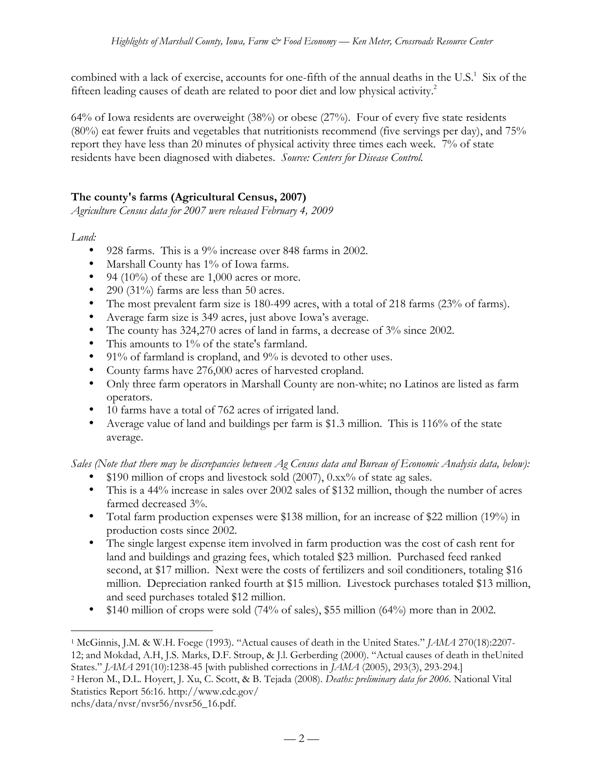combined with a lack of exercise, accounts for one-fifth of the annual deaths in the U.S. $^1$  Six of the fifteen leading causes of death are related to poor diet and low physical activity.<sup>2</sup>

64% of Iowa residents are overweight (38%) or obese (27%). Four of every five state residents (80%) eat fewer fruits and vegetables that nutritionists recommend (five servings per day), and 75% report they have less than 20 minutes of physical activity three times each week. 7% of state residents have been diagnosed with diabetes. *Source: Centers for Disease Control.*

## **The county's farms (Agricultural Census, 2007)**

*Agriculture Census data for 2007 were released February 4, 2009*

*Land:*

- 928 farms. This is a 9% increase over 848 farms in 2002.
- Marshall County has 1% of Iowa farms.
- 94 (10%) of these are 1,000 acres or more.
- 290 (31%) farms are less than 50 acres.
- The most prevalent farm size is 180-499 acres, with a total of 218 farms (23% of farms).
- Average farm size is 349 acres, just above Iowa's average.
- The county has 324,270 acres of land in farms, a decrease of 3% since 2002.
- This amounts to 1% of the state's farmland.
- 91% of farmland is cropland, and 9% is devoted to other uses.
- County farms have 276,000 acres of harvested cropland.
- Only three farm operators in Marshall County are non-white; no Latinos are listed as farm operators.
- 10 farms have a total of 762 acres of irrigated land.
- Average value of land and buildings per farm is \$1.3 million. This is 116% of the state average.

*Sales (Note that there may be discrepancies between Ag Census data and Bureau of Economic Analysis data, below):*

- $$190$  million of crops and livestock sold (2007), 0.xx% of state ag sales.
- This is a 44% increase in sales over 2002 sales of \$132 million, though the number of acres farmed decreased 3%.
- Total farm production expenses were \$138 million, for an increase of \$22 million (19%) in production costs since 2002.
- The single largest expense item involved in farm production was the cost of cash rent for land and buildings and grazing fees, which totaled \$23 million. Purchased feed ranked second, at \$17 million. Next were the costs of fertilizers and soil conditioners, totaling \$16 million. Depreciation ranked fourth at \$15 million. Livestock purchases totaled \$13 million, and seed purchases totaled \$12 million.
- $$140$  million of crops were sold (74% of sales), \$55 million (64%) more than in 2002.

nchs/data/nvsr/nvsr56/nvsr56\_16.pdf.

 <sup>1</sup> McGinnis, J.M. & W.H. Foege (1993). "Actual causes of death in the United States." *JAMA* 270(18):2207- 12; and Mokdad, A.H, J.S. Marks, D.F. Stroup, & J.l. Gerberding (2000). "Actual causes of death in theUnited States." *JAMA* 291(10):1238-45 [with published corrections in *JAMA* (2005), 293(3), 293-294.]

<sup>2</sup> Heron M., D.L. Hoyert, J. Xu, C. Scott, & B. Tejada (2008). *Deaths: preliminary data for 2006.* National Vital Statistics Report 56:16. http://www.cdc.gov/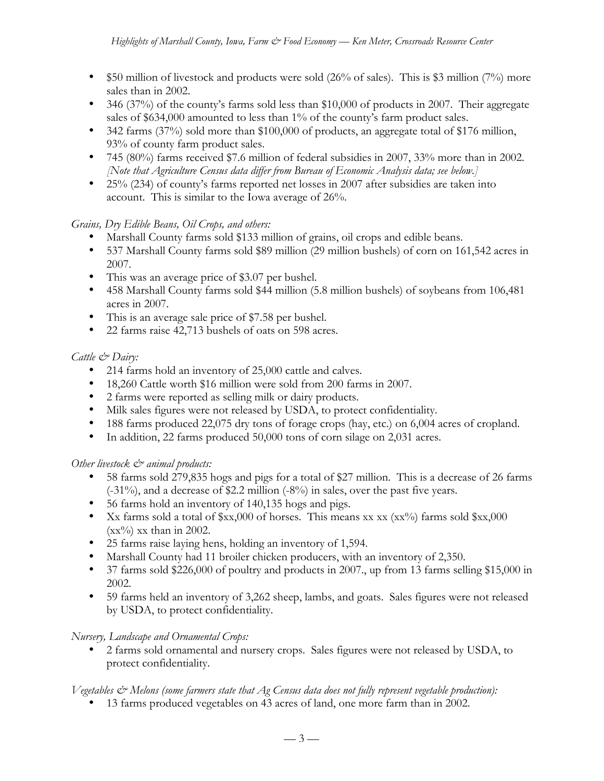- \$50 million of livestock and products were sold  $(26\%$  of sales). This is \$3 million (7%) more sales than in 2002.
- 346 (37%) of the county's farms sold less than \$10,000 of products in 2007. Their aggregate sales of \$634,000 amounted to less than 1% of the county's farm product sales.
- 342 farms (37%) sold more than \$100,000 of products, an aggregate total of \$176 million, 93% of county farm product sales.
- 745 (80%) farms received \$7.6 million of federal subsidies in 2007, 33% more than in 2002. *[Note that Agriculture Census data differ from Bureau of Economic Analysis data; see below.]*
- 25% (234) of county's farms reported net losses in 2007 after subsidies are taken into account. This is similar to the Iowa average of 26%.

## *Grains, Dry Edible Beans, Oil Crops, and others:*

- Marshall County farms sold \$133 million of grains, oil crops and edible beans.
- 537 Marshall County farms sold \$89 million (29 million bushels) of corn on 161,542 acres in 2007.
- This was an average price of \$3.07 per bushel.
- 458 Marshall County farms sold \$44 million (5.8 million bushels) of soybeans from 106,481 acres in 2007.
- This is an average sale price of \$7.58 per bushel.
- 22 farms raise 42,713 bushels of oats on 598 acres.

### *Cattle & Dairy:*

- 214 farms hold an inventory of 25,000 cattle and calves.
- 18,260 Cattle worth \$16 million were sold from 200 farms in 2007.
- 2 farms were reported as selling milk or dairy products.
- Milk sales figures were not released by USDA, to protect confidentiality.
- 188 farms produced 22,075 dry tons of forage crops (hay, etc.) on 6,004 acres of cropland.
- In addition, 22 farms produced 50,000 tons of corn silage on 2,031 acres.

### *Other livestock*  $\mathcal{O}^*$  animal products:

- 58 farms sold 279,835 hogs and pigs for a total of \$27 million. This is a decrease of 26 farms (-31%), and a decrease of \$2.2 million (-8%) in sales, over the past five years.
- 56 farms hold an inventory of 140,135 hogs and pigs.
- Xx farms sold a total of  $x,000$  of horses. This means xx xx (xx%) farms sold  $x,000$  $(xx\%)$  xx than in 2002.
- 25 farms raise laying hens, holding an inventory of 1,594.
- Marshall County had 11 broiler chicken producers, with an inventory of 2,350.
- 37 farms sold \$226,000 of poultry and products in 2007., up from 13 farms selling \$15,000 in 2002.
- 59 farms held an inventory of 3,262 sheep, lambs, and goats. Sales figures were not released by USDA, to protect confidentiality.

### *Nursery, Landscape and Ornamental Crops:*

• 2 farms sold ornamental and nursery crops. Sales figures were not released by USDA, to protect confidentiality.

## *Vegetables & Melons (some farmers state that Ag Census data does not fully represent vegetable production):*

• 13 farms produced vegetables on 43 acres of land, one more farm than in 2002.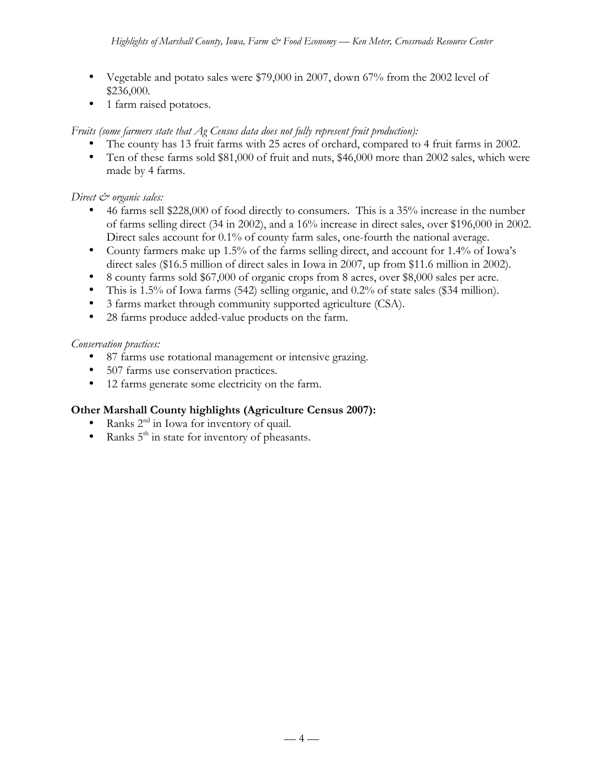- Vegetable and potato sales were \$79,000 in 2007, down 67% from the 2002 level of \$236,000.
- 1 farm raised potatoes.

## *Fruits (some farmers state that Ag Census data does not fully represent fruit production):*

- The county has 13 fruit farms with 25 acres of orchard, compared to 4 fruit farms in 2002.
- Ten of these farms sold \$81,000 of fruit and nuts, \$46,000 more than 2002 sales, which were made by 4 farms.

## *Direct*  $\mathcal{Q}$  organic sales:

- 46 farms sell \$228,000 of food directly to consumers. This is a 35% increase in the number of farms selling direct (34 in 2002), and a 16% increase in direct sales, over \$196,000 in 2002. Direct sales account for 0.1% of county farm sales, one-fourth the national average.
- County farmers make up 1.5% of the farms selling direct, and account for 1.4% of Iowa's direct sales (\$16.5 million of direct sales in Iowa in 2007, up from \$11.6 million in 2002).
- 8 county farms sold \$67,000 of organic crops from 8 acres, over \$8,000 sales per acre.
- This is 1.5% of Iowa farms (542) selling organic, and 0.2% of state sales (\$34 million).
- 3 farms market through community supported agriculture (CSA).
- 28 farms produce added-value products on the farm.

## *Conservation practices:*

- 87 farms use rotational management or intensive grazing.
- 507 farms use conservation practices.
- 12 farms generate some electricity on the farm.

# **Other Marshall County highlights (Agriculture Census 2007):**

- Ranks  $2<sup>nd</sup>$  in Iowa for inventory of quail.
- Ranks  $5<sup>th</sup>$  in state for inventory of pheasants.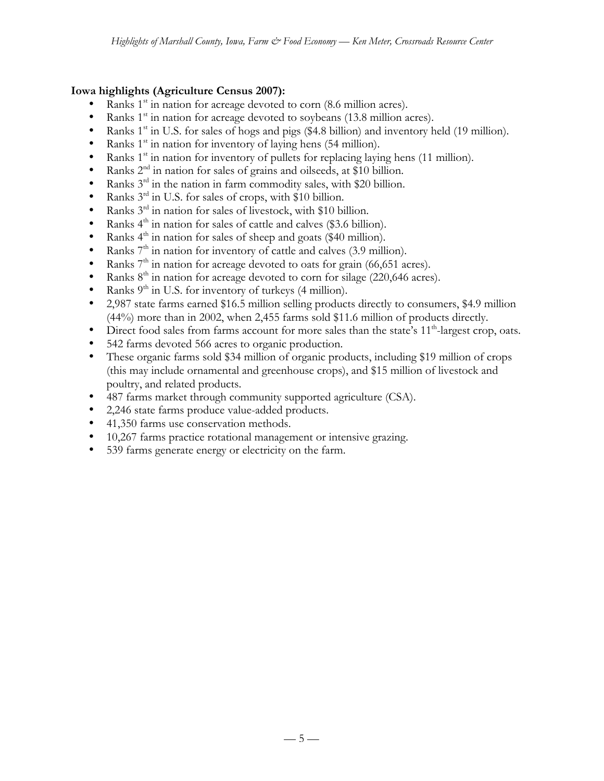## **Iowa highlights (Agriculture Census 2007):**

- Ranks  $1<sup>st</sup>$  in nation for acreage devoted to corn (8.6 million acres).
- Ranks  $1<sup>st</sup>$  in nation for acreage devoted to soybeans (13.8 million acres).
- Ranks  $1<sup>st</sup>$  in U.S. for sales of hogs and pigs (\$4.8 billion) and inventory held (19 million).
- Ranks  $1<sup>st</sup>$  in nation for inventory of laying hens (54 million).
- Ranks  $1<sup>st</sup>$  in nation for inventory of pullets for replacing laying hens (11 million).
- Ranks  $2<sup>nd</sup>$  in nation for sales of grains and oilseeds, at \$10 billion.
- Ranks  $3^{rd}$  in the nation in farm commodity sales, with \$20 billion.
- Ranks 3<sup>rd</sup> in U.S. for sales of crops, with \$10 billion.
- Ranks  $3^{rd}$  in nation for sales of livestock, with \$10 billion.<br>• Ranks  $4^{th}$  in nation for sales of cattle and calves (\$3.6 billion)
- Ranks  $4<sup>th</sup>$  in nation for sales of cattle and calves (\$3.6 billion).
- Ranks  $4<sup>th</sup>$  in nation for sales of sheep and goats (\$40 million).
- Ranks  $7<sup>th</sup>$  in nation for inventory of cattle and calves (3.9 million).<br>• Ranks  $7<sup>th</sup>$  in nation for acreage devoted to oats for grain (66.651 as
- Ranks  $7<sup>th</sup>$  in nation for acreage devoted to oats for grain (66,651 acres).
- Ranks  $8<sup>th</sup>$  in nation for acreage devoted to corn for silage (220,646 acres).
- Ranks  $9<sup>th</sup>$  in U.S. for inventory of turkeys (4 million).
- 2,987 state farms earned \$16.5 million selling products directly to consumers, \$4.9 million (44%) more than in 2002, when 2,455 farms sold \$11.6 million of products directly.
- Direct food sales from farms account for more sales than the state's 11<sup>th</sup>-largest crop, oats.
- 542 farms devoted 566 acres to organic production.
- These organic farms sold \$34 million of organic products, including \$19 million of crops (this may include ornamental and greenhouse crops), and \$15 million of livestock and poultry, and related products.
- 487 farms market through community supported agriculture (CSA).
- 2,246 state farms produce value-added products.
- 41,350 farms use conservation methods.
- 10,267 farms practice rotational management or intensive grazing.
- 539 farms generate energy or electricity on the farm.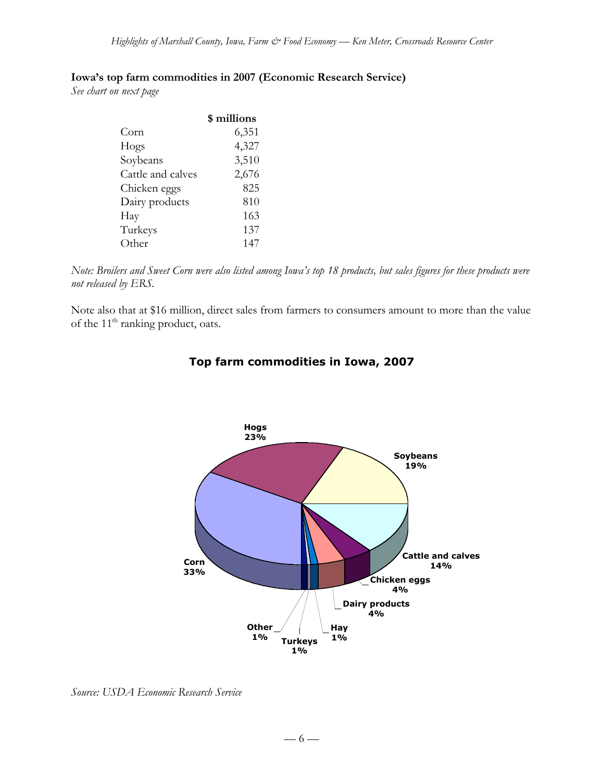### **Iowa's top farm commodities in 2007 (Economic Research Service)**

*See chart on next page*

|                   | \$ millions |
|-------------------|-------------|
| Corn              | 6,351       |
| Hogs              | 4,327       |
| Soybeans          | 3,510       |
| Cattle and calves | 2,676       |
| Chicken eggs      | 825         |
| Dairy products    | 810         |
| Hay               | 163         |
| Turkeys           | 137         |
| Other             | 147         |

*Note: Broilers and Sweet Corn were also listed among Iowa's top 18 products, but sales figures for these products were not released by ERS.*

Note also that at \$16 million, direct sales from farmers to consumers amount to more than the value of the 11<sup>th</sup> ranking product, oats.



## **Top farm commodities in Iowa, 2007**

*Source: USDA Economic Research Service*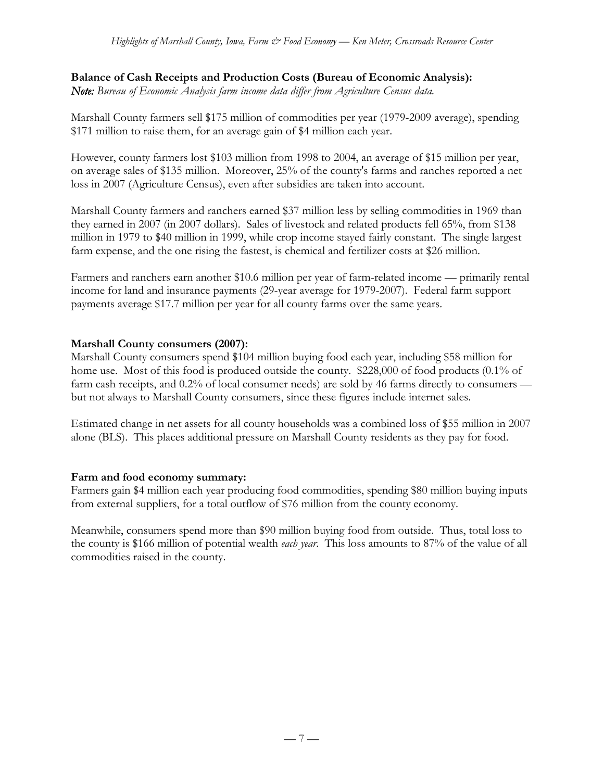### **Balance of Cash Receipts and Production Costs (Bureau of Economic Analysis):**

*Note: Bureau of Economic Analysis farm income data differ from Agriculture Census data.*

Marshall County farmers sell \$175 million of commodities per year (1979-2009 average), spending \$171 million to raise them, for an average gain of \$4 million each year.

However, county farmers lost \$103 million from 1998 to 2004, an average of \$15 million per year, on average sales of \$135 million. Moreover, 25% of the county's farms and ranches reported a net loss in 2007 (Agriculture Census), even after subsidies are taken into account.

Marshall County farmers and ranchers earned \$37 million less by selling commodities in 1969 than they earned in 2007 (in 2007 dollars). Sales of livestock and related products fell 65%, from \$138 million in 1979 to \$40 million in 1999, while crop income stayed fairly constant. The single largest farm expense, and the one rising the fastest, is chemical and fertilizer costs at \$26 million.

Farmers and ranchers earn another \$10.6 million per year of farm-related income — primarily rental income for land and insurance payments (29-year average for 1979-2007). Federal farm support payments average \$17.7 million per year for all county farms over the same years.

### **Marshall County consumers (2007):**

Marshall County consumers spend \$104 million buying food each year, including \$58 million for home use. Most of this food is produced outside the county. \$228,000 of food products (0.1% of farm cash receipts, and 0.2% of local consumer needs) are sold by 46 farms directly to consumers but not always to Marshall County consumers, since these figures include internet sales.

Estimated change in net assets for all county households was a combined loss of \$55 million in 2007 alone (BLS). This places additional pressure on Marshall County residents as they pay for food.

### **Farm and food economy summary:**

Farmers gain \$4 million each year producing food commodities, spending \$80 million buying inputs from external suppliers, for a total outflow of \$76 million from the county economy.

Meanwhile, consumers spend more than \$90 million buying food from outside. Thus, total loss to the county is \$166 million of potential wealth *each year*. This loss amounts to 87% of the value of all commodities raised in the county.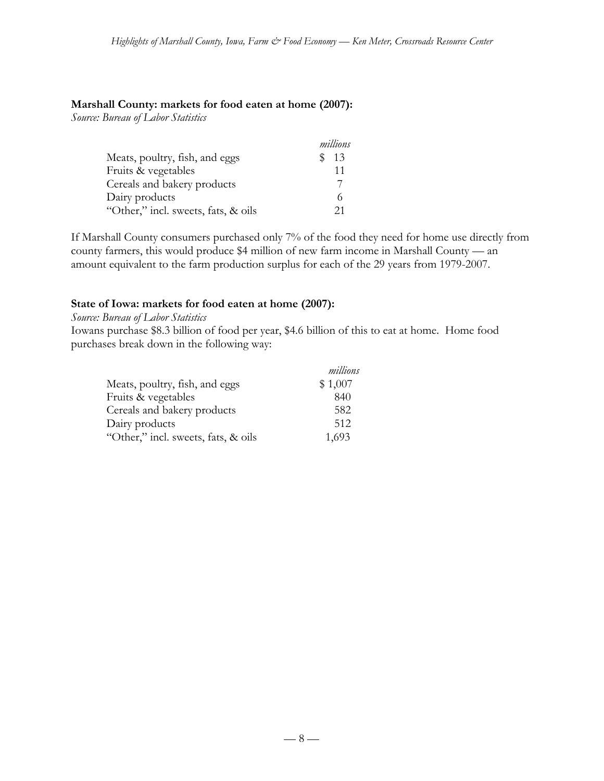### **Marshall County: markets for food eaten at home (2007):**

*Source: Bureau of Labor Statistics*

|                                     | millions |
|-------------------------------------|----------|
| Meats, poultry, fish, and eggs      | -13      |
| Fruits & vegetables                 | 11       |
| Cereals and bakery products         |          |
| Dairy products                      |          |
| "Other," incl. sweets, fats, & oils | 21       |

If Marshall County consumers purchased only 7% of the food they need for home use directly from county farmers, this would produce \$4 million of new farm income in Marshall County — an amount equivalent to the farm production surplus for each of the 29 years from 1979-2007.

### **State of Iowa: markets for food eaten at home (2007):**

*Source: Bureau of Labor Statistics*

Iowans purchase \$8.3 billion of food per year, \$4.6 billion of this to eat at home. Home food purchases break down in the following way:

|                                     | millions |
|-------------------------------------|----------|
| Meats, poultry, fish, and eggs      | \$1,007  |
| Fruits & vegetables                 | 840      |
| Cereals and bakery products         | 582      |
| Dairy products                      | 512      |
| "Other," incl. sweets, fats, & oils | 1,693    |